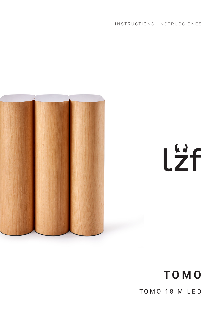INSTRUCTIONS INSTRUCCIONES



# Lzf

# **TOMO** TOMO 18 M LED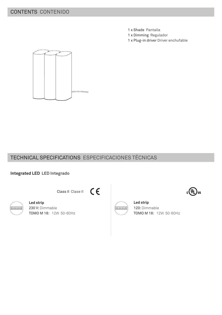# CONTENTS CONTENIDO

- 1 x Shade Pantalla
- 1 x Dimming Regulador
- 1 x Plug-in driver Driver enchufable



# TECHNICAL SPECIFICATIONS ESPECIFICACIONES TÉCNICAS

 $C \in$ 

Class II Clase II

## **Integrated LED LED Integrado**



**Led strip** 230 V: Dimmable TOMO M 18: 12W 50-60Hz



**Led strip** 120: Dimmable TOMO M 18: 12W 50-60Hz

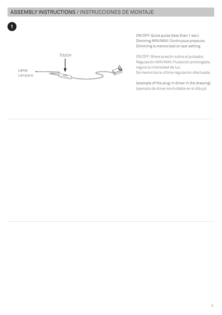# ASSEMBLY INSTRUCTIONS / INSTRUCCIONES DE MONTAJE



ON/OFF: Quick pulse (less than 1 sec.) Dimming MIN/MAX: Continuous pressure. Dimmimg is memorized on last setting.

ON/OFF: Breve presión sobre el pulsador. Regulación MIN/MAX: Pulsación prolongada, regula la intensidad de luz. Se memoriza la ultima regulación efectuada.

(example of the plug-in driver in the drawing) (ejemplo de driver enchufable en el dibujo)